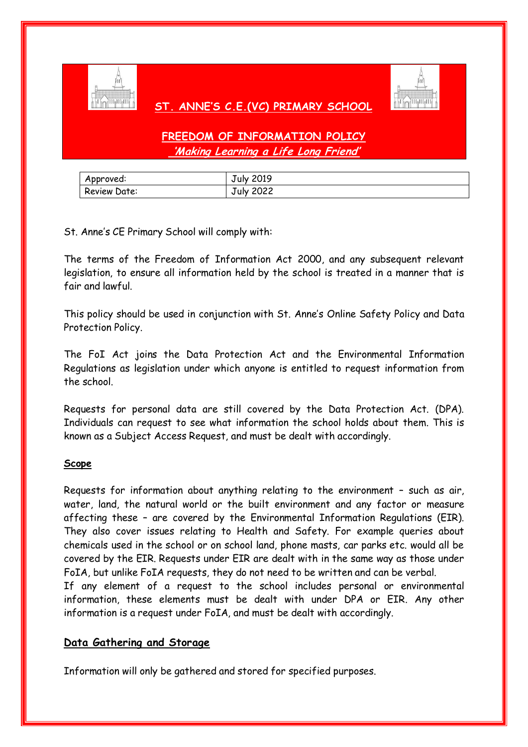

### **ST. ANNE'S C.E.(VC) PRIMARY SCHOOL**



# **FREEDOM OF INFORMATION POLICY 'Making Learning a Life Long Friend'**

| Approved:    | July 2019        |
|--------------|------------------|
| Review Date: | <b>July 2022</b> |

St. Anne's CE Primary School will comply with:

The terms of the Freedom of Information Act 2000, and any subsequent relevant legislation, to ensure all information held by the school is treated in a manner that is fair and lawful.

This policy should be used in conjunction with St. Anne's Online Safety Policy and Data Protection Policy.

The FoI Act joins the Data Protection Act and the Environmental Information Regulations as legislation under which anyone is entitled to request information from the school.

Requests for personal data are still covered by the Data Protection Act. (DPA). Individuals can request to see what information the school holds about them. This is known as a Subject Access Request, and must be dealt with accordingly.

### **Scope**

Requests for information about anything relating to the environment – such as air, water, land, the natural world or the built environment and any factor or measure affecting these – are covered by the Environmental Information Regulations (EIR). They also cover issues relating to Health and Safety. For example queries about chemicals used in the school or on school land, phone masts, car parks etc. would all be covered by the EIR. Requests under EIR are dealt with in the same way as those under FoIA, but unlike FoIA requests, they do not need to be written and can be verbal.

If any element of a request to the school includes personal or environmental information, these elements must be dealt with under DPA or EIR. Any other information is a request under FoIA, and must be dealt with accordingly.

## **Data Gathering and Storage**

Information will only be gathered and stored for specified purposes.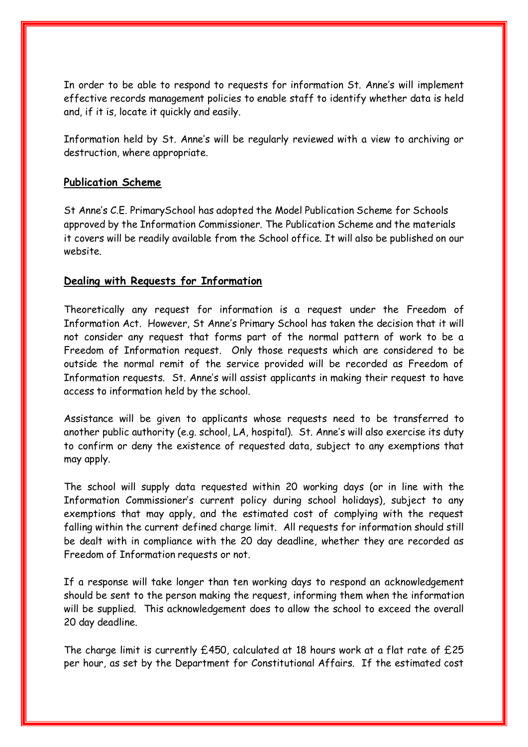In order to be able to respond to requests for information St. Anne's will implement effective records management policies to enable staff to identify whether data is held and, if it is, locate it quickly and easily.

Information held by St. Anne's will be regularly reviewed with a view to archiving or destruction, where appropriate.

### **Publication Scheme**

St Anne's C.E. PrimarySchool has adopted the Model Publication Scheme for Schools approved by the Information Commissioner. The Publication Scheme and the materials it covers will be readily available from the School office. It will also be published on our website.

### **Dealing with Requests for Information**

Theoretically any request for information is a request under the Freedom of Information Act. However, St Anne's Primary School has taken the decision that it will not consider any request that forms part of the normal pattern of work to be a Freedom of Information request. Only those requests which are considered to be outside the normal remit of the service provided will be recorded as Freedom of Information requests. St. Anne's will assist applicants in making their request to have access to information held by the school.

Assistance will be given to applicants whose requests need to be transferred to another public authority (e.g. school, LA, hospital). St. Anne's will also exercise its duty to confirm or deny the existence of requested data, subject to any exemptions that may apply.

The school will supply data requested within 20 working days (or in line with the Information Commissioner's current policy during school holidays), subject to any exemptions that may apply, and the estimated cost of complying with the request falling within the current defined charge limit. All requests for information should still be dealt with in compliance with the 20 day deadline, whether they are recorded as Freedom of Information requests or not.

If a response will take longer than ten working days to respond an acknowledgement should be sent to the person making the request, informing them when the information will be supplied. This acknowledgement does to allow the school to exceed the overall 20 day deadline.

The charge limit is currently £450, calculated at 18 hours work at a flat rate of £25 per hour, as set by the Department for Constitutional Affairs. If the estimated cost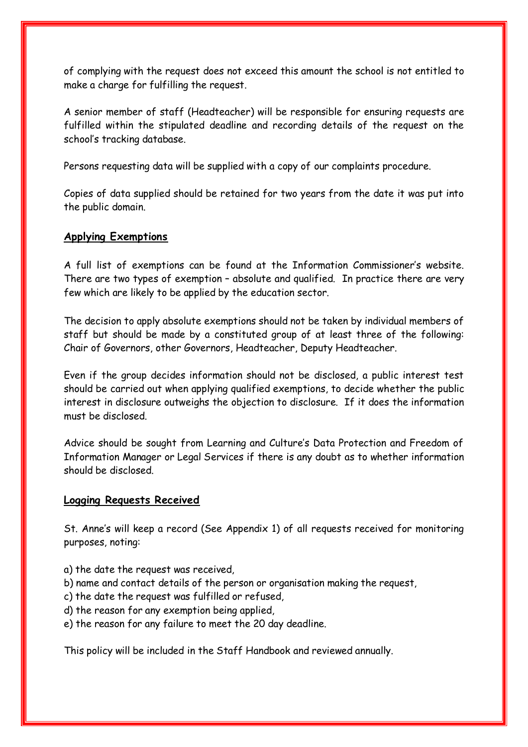of complying with the request does not exceed this amount the school is not entitled to make a charge for fulfilling the request.

A senior member of staff (Headteacher) will be responsible for ensuring requests are fulfilled within the stipulated deadline and recording details of the request on the school's tracking database.

Persons requesting data will be supplied with a copy of our complaints procedure.

Copies of data supplied should be retained for two years from the date it was put into the public domain.

### **Applying Exemptions**

A full list of exemptions can be found at the Information Commissioner's website. There are two types of exemption – absolute and qualified. In practice there are very few which are likely to be applied by the education sector.

The decision to apply absolute exemptions should not be taken by individual members of staff but should be made by a constituted group of at least three of the following: Chair of Governors, other Governors, Headteacher, Deputy Headteacher.

Even if the group decides information should not be disclosed, a public interest test should be carried out when applying qualified exemptions, to decide whether the public interest in disclosure outweighs the objection to disclosure. If it does the information must be disclosed.

Advice should be sought from Learning and Culture's Data Protection and Freedom of Information Manager or Legal Services if there is any doubt as to whether information should be disclosed.

#### **Logging Requests Received**

St. Anne's will keep a record (See Appendix 1) of all requests received for monitoring purposes, noting:

- a) the date the request was received,
- b) name and contact details of the person or organisation making the request,
- c) the date the request was fulfilled or refused,
- d) the reason for any exemption being applied,
- e) the reason for any failure to meet the 20 day deadline.

This policy will be included in the Staff Handbook and reviewed annually.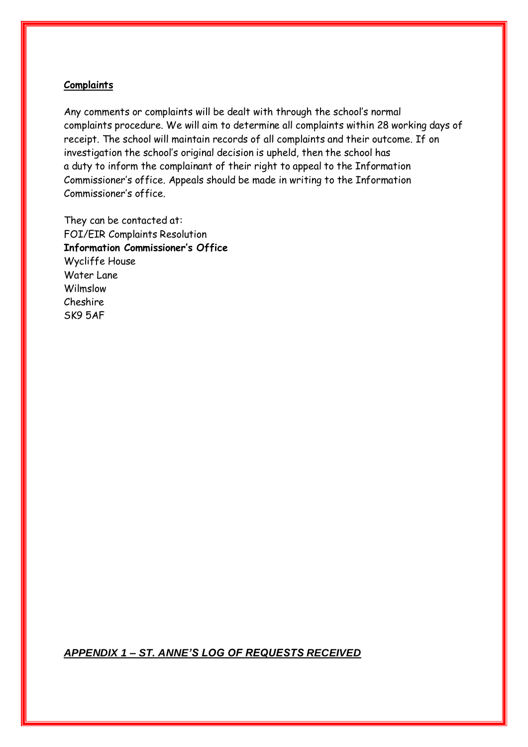### **Complaints**

Any comments or complaints will be dealt with through the school's normal complaints procedure. We will aim to determine all complaints within 28 working days of receipt. The school will maintain records of all complaints and their outcome. If on investigation the school's original decision is upheld, then the school has a duty to inform the complainant of their right to appeal to the Information Commissioner's office. Appeals should be made in writing to the Information Commissioner's office.

They can be contacted at: FOI/EIR Complaints Resolution **Information Commissioner's Office** Wycliffe House Water Lane Wilmslow Cheshire SK9 5AF

*APPENDIX 1 – ST. ANNE'S LOG OF REQUESTS RECEIVED*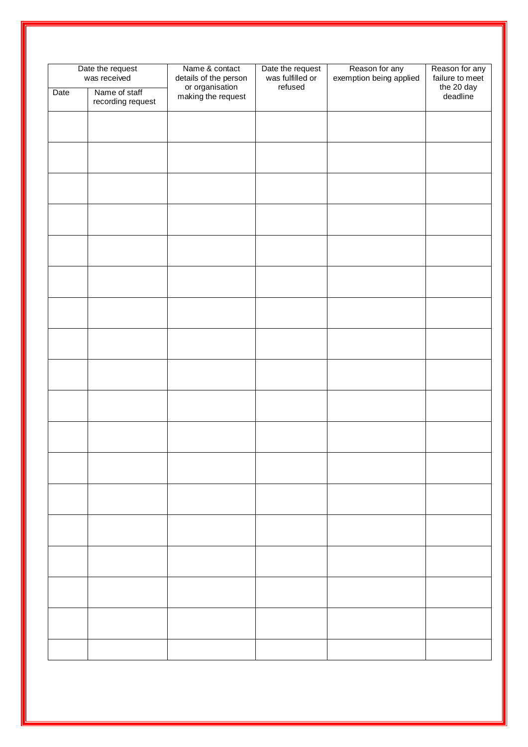| Date the request<br>was received |                                    | Name & contact<br>details of the person | Date the request<br>was fulfilled or | Reason for any<br>exemption being applied | Reason for any<br>failure to meet |
|----------------------------------|------------------------------------|-----------------------------------------|--------------------------------------|-------------------------------------------|-----------------------------------|
| Date                             | Name of staff<br>recording request | or organisation<br>making the request   | refused                              |                                           | the 20 day<br>deadline            |
|                                  |                                    |                                         |                                      |                                           |                                   |
|                                  |                                    |                                         |                                      |                                           |                                   |
|                                  |                                    |                                         |                                      |                                           |                                   |
|                                  |                                    |                                         |                                      |                                           |                                   |
|                                  |                                    |                                         |                                      |                                           |                                   |
|                                  |                                    |                                         |                                      |                                           |                                   |
|                                  |                                    |                                         |                                      |                                           |                                   |
|                                  |                                    |                                         |                                      |                                           |                                   |
|                                  |                                    |                                         |                                      |                                           |                                   |
|                                  |                                    |                                         |                                      |                                           |                                   |
|                                  |                                    |                                         |                                      |                                           |                                   |
|                                  |                                    |                                         |                                      |                                           |                                   |
|                                  |                                    |                                         |                                      |                                           |                                   |
|                                  |                                    |                                         |                                      |                                           |                                   |
|                                  |                                    |                                         |                                      |                                           |                                   |
|                                  |                                    |                                         |                                      |                                           |                                   |
|                                  |                                    |                                         |                                      |                                           |                                   |
|                                  |                                    |                                         |                                      |                                           |                                   |
|                                  |                                    |                                         |                                      |                                           |                                   |
|                                  |                                    |                                         |                                      |                                           |                                   |
|                                  |                                    |                                         |                                      |                                           |                                   |
|                                  |                                    |                                         |                                      |                                           |                                   |
|                                  |                                    |                                         |                                      |                                           |                                   |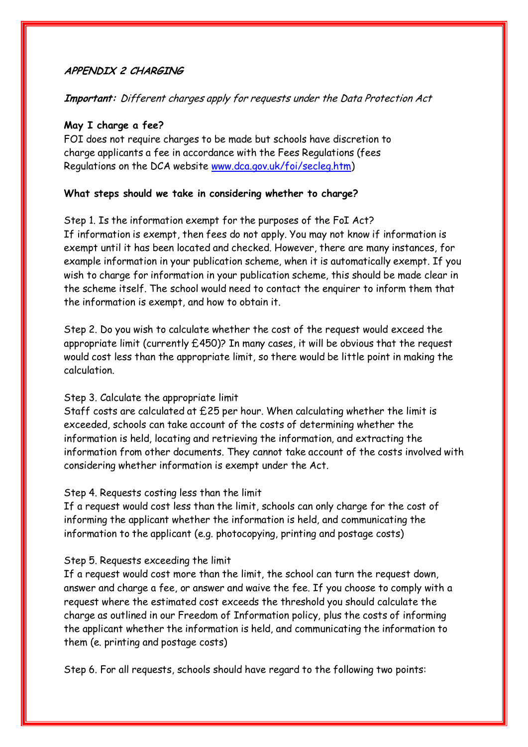### **APPENDIX 2 CHARGING**

### **Important:** Different charges apply for requests under the Data Protection Act

#### **May I charge a fee?**

FOI does not require charges to be made but schools have discretion to charge applicants a fee in accordance with the Fees Regulations (fees Regulations on the DCA website [www.dca.gov.uk/foi/secleg.htm\)](http://www.dca.gov.uk/foi/secleg.htm)

### **What steps should we take in considering whether to charge?**

Step 1. Is the information exempt for the purposes of the FoI Act? If information is exempt, then fees do not apply. You may not know if information is exempt until it has been located and checked. However, there are many instances, for example information in your publication scheme, when it is automatically exempt. If you wish to charge for information in your publication scheme, this should be made clear in the scheme itself. The school would need to contact the enquirer to inform them that the information is exempt, and how to obtain it.

Step 2. Do you wish to calculate whether the cost of the request would exceed the appropriate limit (currently  $£450$ )? In many cases, it will be obvious that the request would cost less than the appropriate limit, so there would be little point in making the calculation.

### Step 3. Calculate the appropriate limit

Staff costs are calculated at £25 per hour. When calculating whether the limit is exceeded, schools can take account of the costs of determining whether the information is held, locating and retrieving the information, and extracting the information from other documents. They cannot take account of the costs involved with considering whether information is exempt under the Act.

### Step 4. Requests costing less than the limit

If a request would cost less than the limit, schools can only charge for the cost of informing the applicant whether the information is held, and communicating the information to the applicant (e.g. photocopying, printing and postage costs)

### Step 5. Requests exceeding the limit

If a request would cost more than the limit, the school can turn the request down, answer and charge a fee, or answer and waive the fee. If you choose to comply with a request where the estimated cost exceeds the threshold you should calculate the charge as outlined in our Freedom of Information policy, plus the costs of informing the applicant whether the information is held, and communicating the information to them (e. printing and postage costs)

Step 6. For all requests, schools should have regard to the following two points: